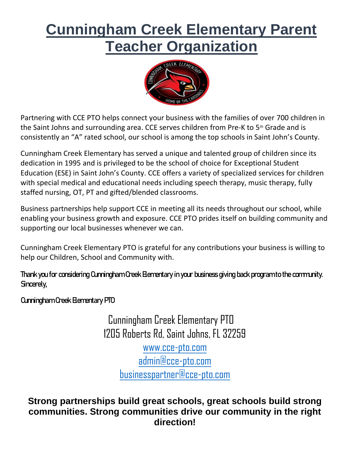# **Cunningham Creek Elementary Parent Teacher Organization**



Partnering with CCE PTO helps connect your business with the families of over 700 children in the Saint Johns and surrounding area. CCE serves children from Pre-K to 5<sup>th</sup> Grade and is consistently an "A" rated school, our school is among the top schools in Saint John's County.

Cunningham Creek Elementary has served a unique and talented group of children since its dedication in 1995 and is privileged to be the school of choice for Exceptional Student Education (ESE) in Saint John's County. CCE offers a variety of specialized services for children with special medical and educational needs including speech therapy, music therapy, fully staffed nursing, OT, PT and gifted/blended classrooms.

Business partnerships help support CCE in meeting all its needs throughout our school, while enabling your business growth and exposure. CCE PTO prides itself on building community and supporting our local businesses whenever we can.

Cunningham Creek Elementary PTO is grateful for any contributions your business is willing to help our Children, School and Community with.

Thank you for considering Cunningham Creek Elementary in your business giving back program to the community. Sincerely,

Cunningham Creek Elementary PTO

 Cunningham Creek Elementary PTO 1205 Roberts Rd, Saint Johns, FL 32259

[www.cce-pto.com](http://www.cce-pto.com/) [admin@cce-pto.com](mailto:admin@cce-pto.com) [businesspartner@cce-pto.com](mailto:businesspartner@cce-pto.com)

**Strong partnerships build great schools, great schools build strong communities. Strong communities drive our community in the right direction!**